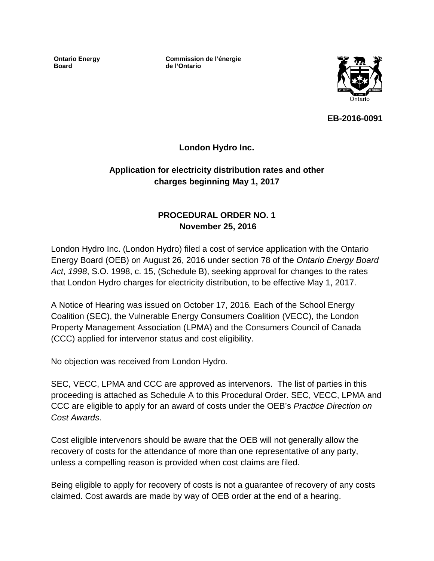**Ontario Energy Board**

**Commission de l'énergie de l'Ontario**



**EB-2016-0091**

**London Hydro Inc.**

# **Application for electricity distribution rates and other charges beginning May 1, 2017**

# **PROCEDURAL ORDER NO. 1 November 25, 2016**

London Hydro Inc. (London Hydro) filed a cost of service application with the Ontario Energy Board (OEB) on August 26, 2016 under section 78 of the *Ontario Energy Board Act*, *1998*, S.O. 1998, c. 15, (Schedule B), seeking approval for changes to the rates that London Hydro charges for electricity distribution, to be effective May 1, 2017.

A Notice of Hearing was issued on October 17, 2016*.* Each of the School Energy Coalition (SEC), the Vulnerable Energy Consumers Coalition (VECC), the London Property Management Association (LPMA) and the Consumers Council of Canada (CCC) applied for intervenor status and cost eligibility.

No objection was received from London Hydro.

SEC, VECC, LPMA and CCC are approved as intervenors. The list of parties in this proceeding is attached as Schedule A to this Procedural Order. SEC, VECC, LPMA and CCC are eligible to apply for an award of costs under the OEB's *Practice Direction on Cost Awards*.

Cost eligible intervenors should be aware that the OEB will not generally allow the recovery of costs for the attendance of more than one representative of any party, unless a compelling reason is provided when cost claims are filed.

Being eligible to apply for recovery of costs is not a guarantee of recovery of any costs claimed. Cost awards are made by way of OEB order at the end of a hearing.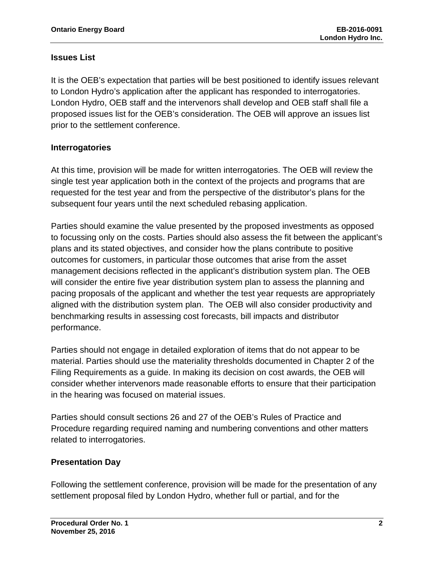# **Issues List**

It is the OEB's expectation that parties will be best positioned to identify issues relevant to London Hydro's application after the applicant has responded to interrogatories. London Hydro, OEB staff and the intervenors shall develop and OEB staff shall file a proposed issues list for the OEB's consideration. The OEB will approve an issues list prior to the settlement conference.

# **Interrogatories**

At this time, provision will be made for written interrogatories. The OEB will review the single test year application both in the context of the projects and programs that are requested for the test year and from the perspective of the distributor's plans for the subsequent four years until the next scheduled rebasing application.

Parties should examine the value presented by the proposed investments as opposed to focussing only on the costs. Parties should also assess the fit between the applicant's plans and its stated objectives, and consider how the plans contribute to positive outcomes for customers, in particular those outcomes that arise from the asset management decisions reflected in the applicant's distribution system plan. The OEB will consider the entire five year distribution system plan to assess the planning and pacing proposals of the applicant and whether the test year requests are appropriately aligned with the distribution system plan. The OEB will also consider productivity and benchmarking results in assessing cost forecasts, bill impacts and distributor performance.

Parties should not engage in detailed exploration of items that do not appear to be material. Parties should use the materiality thresholds documented in Chapter 2 of the Filing Requirements as a guide. In making its decision on cost awards, the OEB will consider whether intervenors made reasonable efforts to ensure that their participation in the hearing was focused on material issues.

Parties should consult sections 26 and 27 of the OEB's Rules of Practice and Procedure regarding required naming and numbering conventions and other matters related to interrogatories.

# **Presentation Day**

Following the settlement conference, provision will be made for the presentation of any settlement proposal filed by London Hydro, whether full or partial, and for the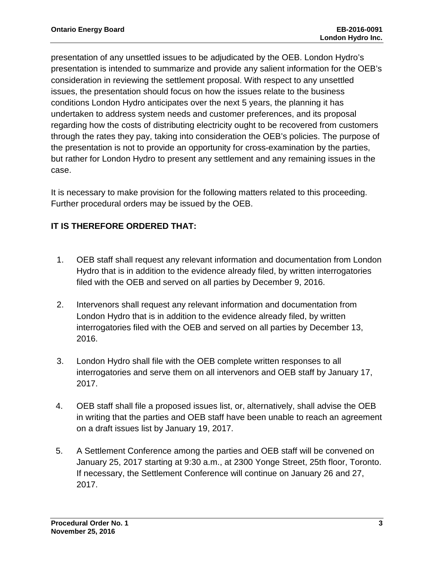presentation of any unsettled issues to be adjudicated by the OEB. London Hydro's presentation is intended to summarize and provide any salient information for the OEB's consideration in reviewing the settlement proposal. With respect to any unsettled issues, the presentation should focus on how the issues relate to the business conditions London Hydro anticipates over the next 5 years, the planning it has undertaken to address system needs and customer preferences, and its proposal regarding how the costs of distributing electricity ought to be recovered from customers through the rates they pay, taking into consideration the OEB's policies. The purpose of the presentation is not to provide an opportunity for cross-examination by the parties, but rather for London Hydro to present any settlement and any remaining issues in the case.

It is necessary to make provision for the following matters related to this proceeding. Further procedural orders may be issued by the OEB.

# **IT IS THEREFORE ORDERED THAT:**

- 1. OEB staff shall request any relevant information and documentation from London Hydro that is in addition to the evidence already filed, by written interrogatories filed with the OEB and served on all parties by December 9, 2016.
- 2. Intervenors shall request any relevant information and documentation from London Hydro that is in addition to the evidence already filed, by written interrogatories filed with the OEB and served on all parties by December 13, 2016.
- 3. London Hydro shall file with the OEB complete written responses to all interrogatories and serve them on all intervenors and OEB staff by January 17, 2017.
- 4. OEB staff shall file a proposed issues list, or, alternatively, shall advise the OEB in writing that the parties and OEB staff have been unable to reach an agreement on a draft issues list by January 19, 2017.
- 5. A Settlement Conference among the parties and OEB staff will be convened on January 25, 2017 starting at 9:30 a.m., at 2300 Yonge Street, 25th floor, Toronto. If necessary, the Settlement Conference will continue on January 26 and 27, 2017.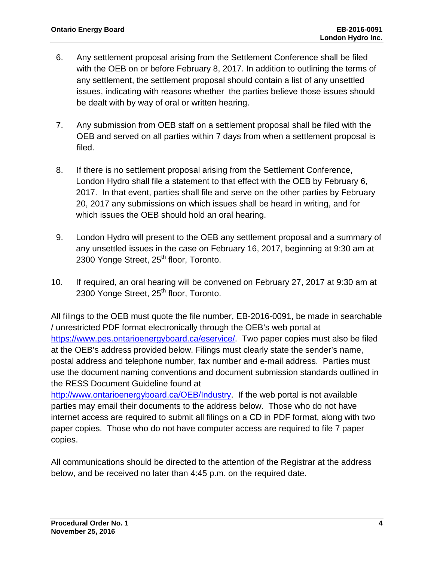- 6. Any settlement proposal arising from the Settlement Conference shall be filed with the OEB on or before February 8, 2017. In addition to outlining the terms of any settlement, the settlement proposal should contain a list of any unsettled issues, indicating with reasons whether the parties believe those issues should be dealt with by way of oral or written hearing.
- 7. Any submission from OEB staff on a settlement proposal shall be filed with the OEB and served on all parties within 7 days from when a settlement proposal is filed.
- 8. If there is no settlement proposal arising from the Settlement Conference, London Hydro shall file a statement to that effect with the OEB by February 6, 2017. In that event, parties shall file and serve on the other parties by February 20, 2017 any submissions on which issues shall be heard in writing, and for which issues the OEB should hold an oral hearing.
- 9. London Hydro will present to the OEB any settlement proposal and a summary of any unsettled issues in the case on February 16, 2017, beginning at 9:30 am at 2300 Yonge Street, 25<sup>th</sup> floor, Toronto.
- 10. If required, an oral hearing will be convened on February 27, 2017 at 9:30 am at 2300 Yonge Street, 25<sup>th</sup> floor, Toronto.

All filings to the OEB must quote the file number, EB-2016-0091, be made in searchable / unrestricted PDF format electronically through the OEB's web portal at [https://www.pes.ontarioenergyboard.ca/eservice/.](https://www.pes.ontarioenergyboard.ca/eservice/) Two paper copies must also be filed at the OEB's address provided below. Filings must clearly state the sender's name, postal address and telephone number, fax number and e-mail address. Parties must use the document naming conventions and document submission standards outlined in the RESS Document Guideline found at

[http://www.ontarioenergyboard.ca/OEB/Industry.](http://www.ontarioenergyboard.ca/OEB/Industry) If the web portal is not available parties may email their documents to the address below. Those who do not have internet access are required to submit all filings on a CD in PDF format, along with two paper copies. Those who do not have computer access are required to file 7 paper copies.

All communications should be directed to the attention of the Registrar at the address below, and be received no later than 4:45 p.m. on the required date.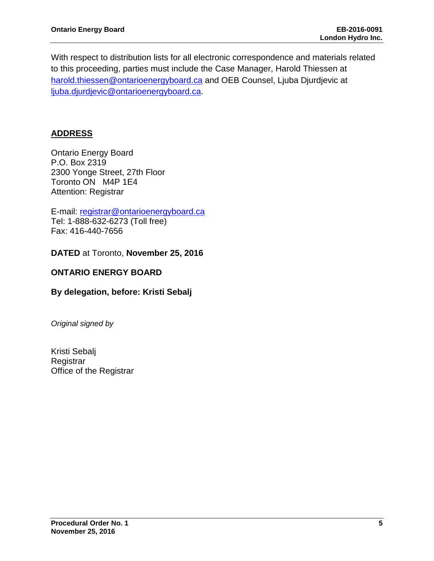With respect to distribution lists for all electronic correspondence and materials related to this proceeding, parties must include the Case Manager, Harold Thiessen at [harold.thiessen@ontarioenergyboard.ca](mailto:harold.thiessen@ontarioenergyboard.ca) and OEB Counsel, Ljuba Djurdjevic at [ljuba.djurdjevic@ontarioenergyboard.ca.](mailto:ljuba.djurdjevic@ontarioenergyboard.ca)

## **ADDRESS**

Ontario Energy Board P.O. Box 2319 2300 Yonge Street, 27th Floor Toronto ON M4P 1E4 Attention: Registrar

E-mail: [registrar@ontarioenergyboard.ca](mailto:registrar@ontarioenergyboard.ca) Tel: 1-888-632-6273 (Toll free) Fax: 416-440-7656

**DATED** at Toronto, **November 25, 2016** 

#### **ONTARIO ENERGY BOARD**

### **By delegation, before: Kristi Sebalj**

*Original signed by*

Kristi Sebalj Registrar Office of the Registrar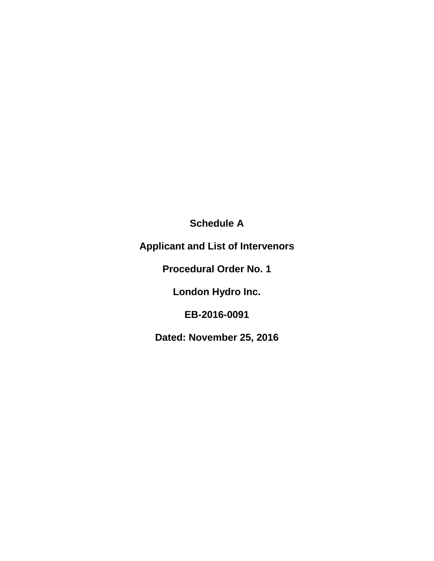**Schedule A**

**Applicant and List of Intervenors**

**Procedural Order No. 1**

**London Hydro Inc.**

**EB-2016-0091**

**Dated: November 25, 2016**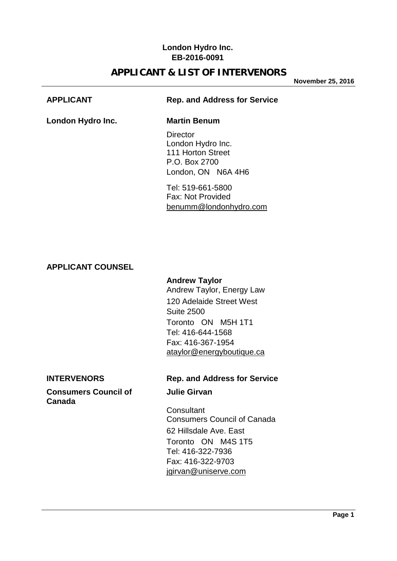## **London Hydro Inc. EB-2016-0091**

# **APPLICANT & LIST OF INTERVENORS**

**November 25, 2016**

### **APPLICANT Rep. and Address for Service**

**London Hydro Inc. Martin Benum**

**Director** London Hydro Inc. 111 Horton Street P.O. Box 2700 London, ON N6A 4H6

Tel: 519-661-5800 Fax: Not Provided [benumm@londonhydro.com](mailto:benumm@londonhydro.com)

### **APPLICANT COUNSEL**

### **Andrew Taylor**

Andrew Taylor, Energy Law 120 Adelaide Street West Suite 2500 Toronto ON M5H 1T1 Tel: 416-644-1568 Fax: 416-367-1954 [ataylor@energyboutique.ca](mailto:ataylor@energyboutique.ca)

### **Consumers Council of Figure 3 Julie Girvan Canada**

### **INTERVENORS Rep. and Address for Service**

**Consultant** Consumers Council of Canada 62 Hillsdale Ave. East Toronto ON M4S 1T5 Tel: 416-322-7936 Fax: 416-322-9703 [jgirvan@uniserve.com](mailto:jgirvan@uniserve.com)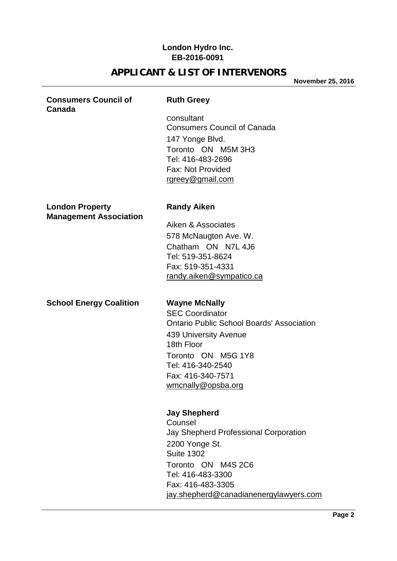## **London Hydro Inc. EB-2016-0091**

# **APPLICANT & LIST OF INTERVENORS**

**November 25, 2016**

#### **Consumers Council of Ruth Greey Canada**

**Consultant** Consumers Council of Canada 147 Yonge Blvd. Toronto ON M5M 3H3 Tel: 416-483-2696 Fax: Not Provided [rgreey@gmail.com](mailto:rgreey@gmail.com)

### **London Property Condon Property** Randy Aiken **Management Association**

Aiken & Associates 578 McNaugton Ave. W. Chatham ON N7L 4J6 Tel: 519-351-8624 Fax: 519-351-4331 [randy.aiken@sympatico.ca](mailto:randy.aiken@sympatico.ca)

**School Energy Coalition Wayne McNally**

SEC Coordinator Ontario Public School Boards' Association 439 University Avenue 18th Floor Toronto ON M5G 1Y8 Tel: 416-340-2540 Fax: 416-340-7571 [wmcnally@opsba.org](mailto:wmcnally@opsba.org)

## **Jay Shepherd**

Counsel Jay Shepherd Professional Corporation 2200 Yonge St. Suite 1302 Toronto ON M4S 2C6 Tel: 416-483-3300 Fax: 416-483-3305 [jay.shepherd@canadianenergylawyers.com](mailto:jay.shepherd@canadianenergylawyers.com)